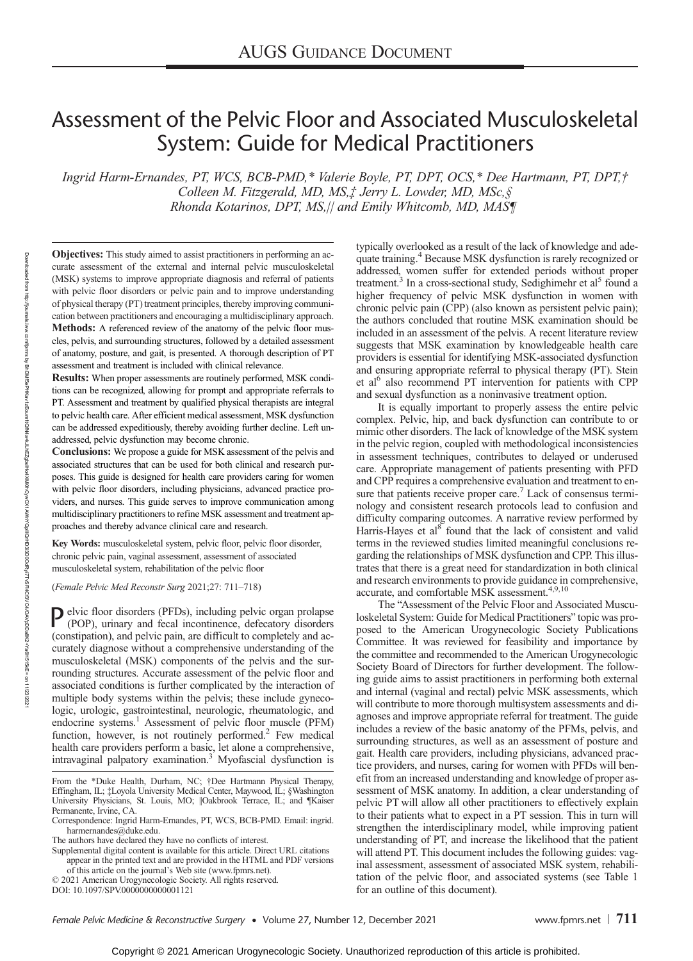# Assessment of the Pelvic Floor and Associated Musculoskeletal System: Guide for Medical Practitioners

Ingrid Harm-Ernandes, PT, WCS, BCB-PMD,\* Valerie Boyle, PT, DPT, OCS,\* Dee Hartmann, PT, DPT,† Colleen M. Fitzgerald, MD, MS,‡ Jerry L. Lowder, MD, MSc,§ Rhonda Kotarinos, DPT, MS,|| and Emily Whitcomb, MD, MAS¶

Objectives: This study aimed to assist practitioners in performing an accurate assessment of the external and internal pelvic musculoskeletal (MSK) systems to improve appropriate diagnosis and referral of patients with pelvic floor disorders or pelvic pain and to improve understanding of physical therapy (PT) treatment principles, thereby improving communication between practitioners and encouraging a multidisciplinary approach. Methods: A referenced review of the anatomy of the pelvic floor muscles, pelvis, and surrounding structures, followed by a detailed assessment of anatomy, posture, and gait, is presented. A thorough description of PT assessment and treatment is included with clinical relevance.

Results: When proper assessments are routinely performed, MSK conditions can be recognized, allowing for prompt and appropriate referrals to PT. Assessment and treatment by qualified physical therapists are integral to pelvic health care. After efficient medical assessment, MSK dysfunction can be addressed expeditiously, thereby avoiding further decline. Left unaddressed, pelvic dysfunction may become chronic.

Conclusions: We propose a guide for MSK assessment of the pelvis and associated structures that can be used for both clinical and research purposes. This guide is designed for health care providers caring for women with pelvic floor disorders, including physicians, advanced practice providers, and nurses. This guide serves to improve communication among multidisciplinary practitioners to refine MSK assessment and treatment approaches and thereby advance clinical care and research.

Key Words: musculoskeletal system, pelvic floor, pelvic floor disorder, chronic pelvic pain, vaginal assessment, assessment of associated musculoskeletal system, rehabilitation of the pelvic floor

(Female Pelvic Med Reconstr Surg 2021;27: 711–718)

 $\sum_{(PCD)}$  elvic floor disorders (PFDs), including pelvic organ prolapse (POP), urinary and fecal incontinence, defecatory disorders (constipation), and pelvic pain, are difficult to completely and accurately diagnose without a comprehensive understanding of the musculoskeletal (MSK) components of the pelvis and the surrounding structures. Accurate assessment of the pelvic floor and associated conditions is further complicated by the interaction of multiple body systems within the pelvis; these include gynecologic, urologic, gastrointestinal, neurologic, rheumatologic, and endocrine systems.<sup>1</sup> Assessment of pelvic floor muscle (PFM) function, however, is not routinely performed.<sup>2</sup> Few medical health care providers perform a basic, let alone a comprehensive, intravaginal palpatory examination.3 Myofascial dysfunction is

typically overlooked as a result of the lack of knowledge and adequate training.4 Because MSK dysfunction is rarely recognized or addressed, women suffer for extended periods without proper treatment.<sup>3</sup> In a cross-sectional study, Sedighimehr et al<sup>5</sup> found a higher frequency of pelvic MSK dysfunction in women with chronic pelvic pain (CPP) (also known as persistent pelvic pain); the authors concluded that routine MSK examination should be included in an assessment of the pelvis. A recent literature review suggests that MSK examination by knowledgeable health care providers is essential for identifying MSK-associated dysfunction and ensuring appropriate referral to physical therapy (PT). Stein et al<sup>6</sup> also recommend PT intervention for patients with CPP and sexual dysfunction as a noninvasive treatment option.

It is equally important to properly assess the entire pelvic complex. Pelvic, hip, and back dysfunction can contribute to or mimic other disorders. The lack of knowledge of the MSK system in the pelvic region, coupled with methodological inconsistencies in assessment techniques, contributes to delayed or underused care. Appropriate management of patients presenting with PFD and CPP requires a comprehensive evaluation and treatment to ensure that patients receive proper care.<sup>7</sup> Lack of consensus terminology and consistent research protocols lead to confusion and difficulty comparing outcomes. A narrative review performed by Harris-Hayes et al<sup>8</sup> found that the lack of consistent and valid terms in the reviewed studies limited meaningful conclusions regarding the relationships of MSK dysfunction and CPP. This illustrates that there is a great need for standardization in both clinical and research environments to provide guidance in comprehensive, accurate, and comfortable MSK assessment.<sup>4,9,10</sup>

The "Assessment of the Pelvic Floor and Associated Musculoskeletal System: Guide for Medical Practitioners" topic was proposed to the American Urogynecologic Society Publications Committee. It was reviewed for feasibility and importance by the committee and recommended to the American Urogynecologic Society Board of Directors for further development. The following guide aims to assist practitioners in performing both external and internal (vaginal and rectal) pelvic MSK assessments, which will contribute to more thorough multisystem assessments and diagnoses and improve appropriate referral for treatment. The guide includes a review of the basic anatomy of the PFMs, pelvis, and surrounding structures, as well as an assessment of posture and gait. Health care providers, including physicians, advanced practice providers, and nurses, caring for women with PFDs will benefit from an increased understanding and knowledge of proper assessment of MSK anatomy. In addition, a clear understanding of pelvic PT will allow all other practitioners to effectively explain to their patients what to expect in a PT session. This in turn will strengthen the interdisciplinary model, while improving patient understanding of PT, and increase the likelihood that the patient will attend PT. This document includes the following guides: vaginal assessment, assessment of associated MSK system, rehabilitation of the pelvic floor, and associated systems (see Table 1 for an outline of this document).

From the \*Duke Health, Durham, NC; †Dee Hartmann Physical Therapy, Effingham, IL; ‡Loyola University Medical Center, Maywood, IL; §Washington University Physicians, St. Louis, MO; ||Oakbrook Terrace, IL; and ¶Kaiser Permanente, Irvine, CA.

Correspondence: Ingrid Harm-Ernandes, PT, WCS, BCB-PMD. Email: [ingrid.](mailto:ingrid.harmernandes@duke.edu) [harmernandes@duke.edu](mailto:ingrid.harmernandes@duke.edu).

The authors have declared they have no conflicts of interest.

Supplemental digital content is available for this article. Direct URL citations

appear in the printed text and are provided in the HTML and PDF versions of this article on the journal's Web site [\(www.fpmrs.net\)](http://www.fpmrs.net).

<sup>© 2021</sup> American Urogynecologic Society. All rights reserved.

DOI: 10.1097/SPV.0000000000001121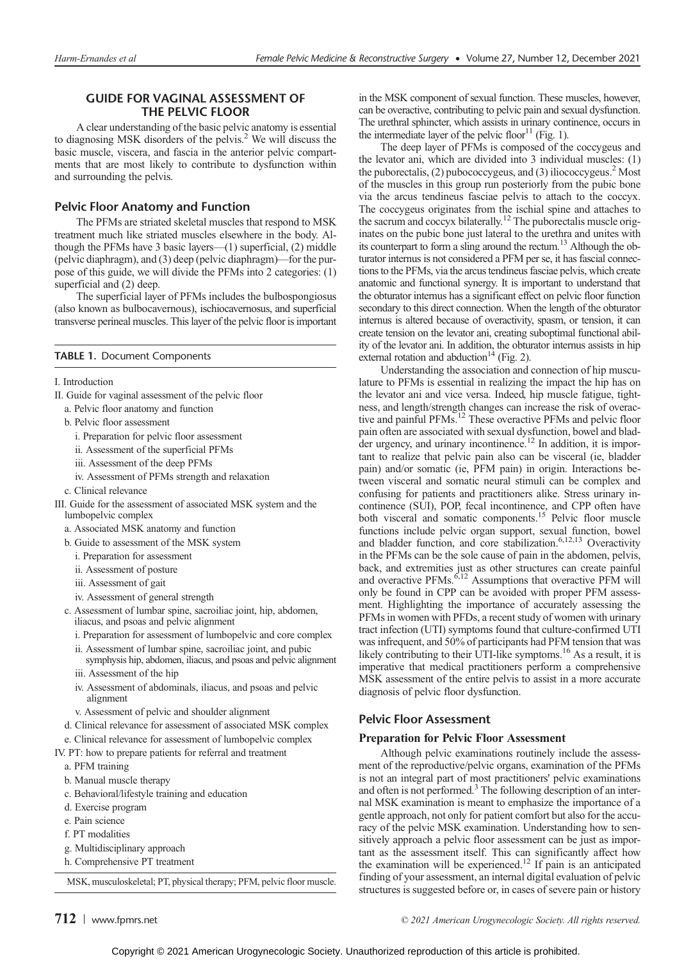# GUIDE FOR VAGINAL ASSESSMENT OF THE PELVIC FLOOR

A clear understanding of the basic pelvic anatomy is essential to diagnosing MSK disorders of the pelvis.2 We will discuss the basic muscle, viscera, and fascia in the anterior pelvic compartments that are most likely to contribute to dysfunction within and surrounding the pelvis.

## Pelvic Floor Anatomy and Function

The PFMs are striated skeletal muscles that respond to MSK treatment much like striated muscles elsewhere in the body. Although the PFMs have 3 basic layers—(1) superficial, (2) middle (pelvic diaphragm), and (3) deep (pelvic diaphragm)—for the purpose of this guide, we will divide the PFMs into 2 categories: (1) superficial and (2) deep.

The superficial layer of PFMs includes the bulbospongiosus (also known as bulbocavernous), ischiocavernosus, and superficial transverse perineal muscles. This layer of the pelvic floor is important

## TABLE 1. Document Components

I. Introduction

- II. Guide for vaginal assessment of the pelvic floor
	- a. Pelvic floor anatomy and function
	- b. Pelvic floor assessment
	- i. Preparation for pelvic floor assessment
	- ii. Assessment of the superficial PFMs
	- iii. Assessment of the deep PFMs
	- iv. Assessment of PFMs strength and relaxation
	- c. Clinical relevance
- III. Guide for the assessment of associated MSK system and the lumbopelvic complex
	- a. Associated MSK anatomy and function
	- b. Guide to assessment of the MSK system
		- i. Preparation for assessment
		- ii. Assessment of posture
		- iii. Assessment of gait
		- iv. Assessment of general strength
	- c. Assessment of lumbar spine, sacroiliac joint, hip, abdomen, iliacus, and psoas and pelvic alignment
	- i. Preparation for assessment of lumbopelvic and core complex
	- ii. Assessment of lumbar spine, sacroiliac joint, and pubic symphysis hip, abdomen, iliacus, and psoas and pelvic alignment
	- iii. Assessment of the hip
	- iv. Assessment of abdominals, iliacus, and psoas and pelvic alignment
	- v. Assessment of pelvic and shoulder alignment
	- d. Clinical relevance for assessment of associated MSK complex
- e. Clinical relevance for assessment of lumbopelvic complex
- IV. PT: how to prepare patients for referral and treatment
	- a. PFM training
	- b. Manual muscle therapy
	- c. Behavioral/lifestyle training and education
	- d. Exercise program
	- e. Pain science
	- f. PT modalities
	- g. Multidisciplinary approach
	- h. Comprehensive PT treatment

MSK, musculoskeletal; PT, physical therapy; PFM, pelvic floor muscle.

in the MSK component of sexual function. These muscles, however, can be overactive, contributing to pelvic pain and sexual dysfunction. The urethral sphincter, which assists in urinary continence, occurs in the intermediate layer of the pelvic floor $^{11}$  (Fig. 1).

The deep layer of PFMs is composed of the coccygeus and the levator ani, which are divided into 3 individual muscles: (1) the puborectalis,  $(2)$  pubococcygeus, and  $(3)$  iliococcygeus.<sup>2</sup> Most of the muscles in this group run posteriorly from the pubic bone via the arcus tendineus fasciae pelvis to attach to the coccyx. The coccygeus originates from the ischial spine and attaches to the sacrum and coccyx bilaterally.12 The puborectalis muscle originates on the pubic bone just lateral to the urethra and unites with its counterpart to form a sling around the rectum.<sup>13</sup> Although the obturator internus is not considered a PFM per se, it has fascial connections to the PFMs, via the arcus tendineus fasciae pelvis, which create anatomic and functional synergy. It is important to understand that the obturator internus has a significant effect on pelvic floor function secondary to this direct connection. When the length of the obturator internus is altered because of overactivity, spasm, or tension, it can create tension on the levator ani, creating suboptimal functional ability of the levator ani. In addition, the obturator internus assists in hip external rotation and abduction<sup>14</sup> (Fig. 2).

Understanding the association and connection of hip musculature to PFMs is essential in realizing the impact the hip has on the levator ani and vice versa. Indeed, hip muscle fatigue, tightness, and length/strength changes can increase the risk of overactive and painful PFMs.12 These overactive PFMs and pelvic floor pain often are associated with sexual dysfunction, bowel and bladder urgency, and urinary incontinence.<sup>12</sup> In addition, it is important to realize that pelvic pain also can be visceral (ie, bladder pain) and/or somatic (ie, PFM pain) in origin. Interactions between visceral and somatic neural stimuli can be complex and confusing for patients and practitioners alike. Stress urinary incontinence (SUI), POP, fecal incontinence, and CPP often have both visceral and somatic components.15 Pelvic floor muscle functions include pelvic organ support, sexual function, bowel and bladder function, and core stabilization.<sup>6,12,13</sup> Overactivity in the PFMs can be the sole cause of pain in the abdomen, pelvis, back, and extremities just as other structures can create painful<br>and overactive PFMs.<sup>6,12</sup> Assumptions that overactive PFM will only be found in CPP can be avoided with proper PFM assessment. Highlighting the importance of accurately assessing the PFMs in women with PFDs, a recent study of women with urinary tract infection (UTI) symptoms found that culture-confirmed UTI was infrequent, and 50% of participants had PFM tension that was likely contributing to their UTI-like symptoms.<sup>16</sup> As a result, it is imperative that medical practitioners perform a comprehensive MSK assessment of the entire pelvis to assist in a more accurate diagnosis of pelvic floor dysfunction.

## Pelvic Floor Assessment

#### Preparation for Pelvic Floor Assessment

Although pelvic examinations routinely include the assessment of the reproductive/pelvic organs, examination of the PFMs is not an integral part of most practitioners' pelvic examinations and often is not performed.<sup>3</sup> The following description of an internal MSK examination is meant to emphasize the importance of a gentle approach, not only for patient comfort but also for the accuracy of the pelvic MSK examination. Understanding how to sensitively approach a pelvic floor assessment can be just as important as the assessment itself. This can significantly affect how the examination will be experienced.<sup>12</sup> If pain is an anticipated finding of your assessment, an internal digital evaluation of pelvic structures is suggested before or, in cases of severe pain or history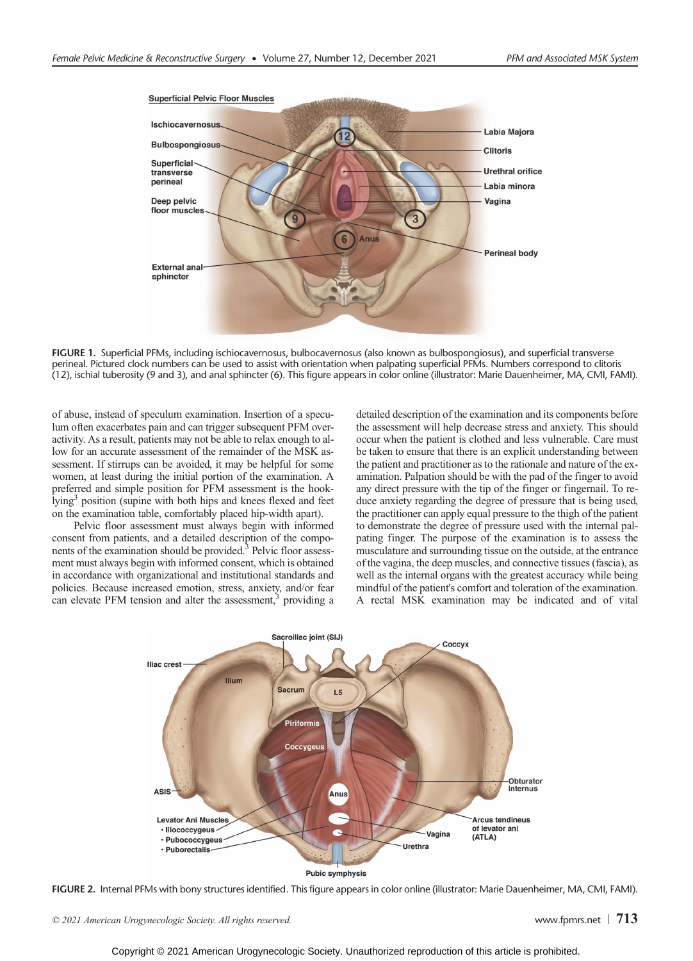

FIGURE 1. Superficial PFMs, including ischiocavernosus, bulbocavernosus (also known as bulbospongiosus), and superficial transverse perineal. Pictured clock numbers can be used to assist with orientation when palpating superficial PFMs. Numbers correspond to clitoris (12), ischial tuberosity (9 and 3), and anal sphincter (6). This figure appears in color online (illustrator: Marie Dauenheimer, MA, CMI, FAMI).

of abuse, instead of speculum examination. Insertion of a speculum often exacerbates pain and can trigger subsequent PFM overactivity. As a result, patients may not be able to relax enough to allow for an accurate assessment of the remainder of the MSK assessment. If stirrups can be avoided, it may be helpful for some women, at least during the initial portion of the examination. A preferred and simple position for PFM assessment is the hooklying<sup>3</sup> position (supine with both hips and knees flexed and feet on the examination table, comfortably placed hip-width apart).

Pelvic floor assessment must always begin with informed consent from patients, and a detailed description of the components of the examination should be provided.<sup>3</sup> Pelvic floor assessment must always begin with informed consent, which is obtained in accordance with organizational and institutional standards and policies. Because increased emotion, stress, anxiety, and/or fear can elevate PFM tension and alter the assessment,<sup>3</sup> providing a detailed description of the examination and its components before the assessment will help decrease stress and anxiety. This should occur when the patient is clothed and less vulnerable. Care must be taken to ensure that there is an explicit understanding between the patient and practitioner as to the rationale and nature of the examination. Palpation should be with the pad of the finger to avoid any direct pressure with the tip of the finger or fingernail. To reduce anxiety regarding the degree of pressure that is being used, the practitioner can apply equal pressure to the thigh of the patient to demonstrate the degree of pressure used with the internal palpating finger. The purpose of the examination is to assess the musculature and surrounding tissue on the outside, at the entrance of the vagina, the deep muscles, and connective tissues (fascia), as well as the internal organs with the greatest accuracy while being mindful of the patient's comfort and toleration of the examination. A rectal MSK examination may be indicated and of vital



Pubic symphysis

FIGURE 2. Internal PFMs with bony structures identified. This figure appears in color online (illustrator: Marie Dauenheimer, MA, CMI, FAMI).

© 2021 American Urogynecologic Society. All rights reserved.  $\Box$  and  $\Box$  and  $\Box$  [www.fpmrs.net](http://www.fpmrs.net)  $\Box$  713

Copyright © 2021 American Urogynecologic Society. Unauthorized reproduction of this article is prohibited.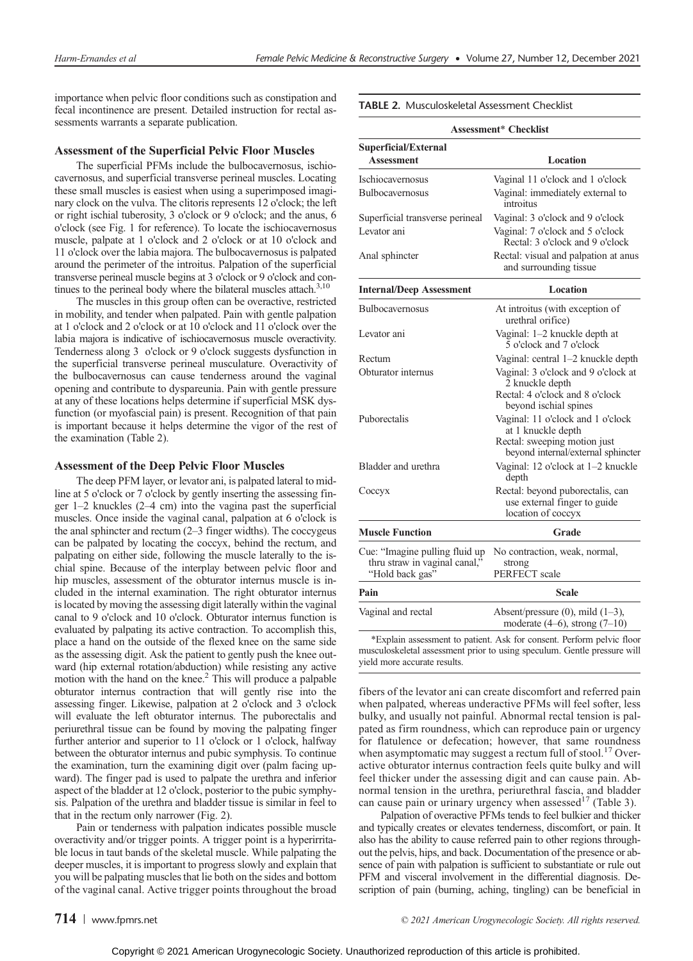importance when pelvic floor conditions such as constipation and fecal incontinence are present. Detailed instruction for rectal assessments warrants a separate publication.

### Assessment of the Superficial Pelvic Floor Muscles

The superficial PFMs include the bulbocavernosus, ischiocavernosus, and superficial transverse perineal muscles. Locating these small muscles is easiest when using a superimposed imaginary clock on the vulva. The clitoris represents 12 o'clock; the left or right ischial tuberosity, 3 o'clock or 9 o'clock; and the anus, 6 o'clock (see Fig. 1 for reference). To locate the ischiocavernosus muscle, palpate at 1 o'clock and 2 o'clock or at 10 o'clock and 11 o'clock over the labia majora. The bulbocavernosus is palpated around the perimeter of the introitus. Palpation of the superficial transverse perineal muscle begins at 3 o'clock or 9 o'clock and continues to the perineal body where the bilateral muscles attach. $3,10$ 

The muscles in this group often can be overactive, restricted in mobility, and tender when palpated. Pain with gentle palpation at 1 o'clock and 2 o'clock or at 10 o'clock and 11 o'clock over the labia majora is indicative of ischiocavernosus muscle overactivity. Tenderness along 3 o'clock or 9 o'clock suggests dysfunction in the superficial transverse perineal musculature. Overactivity of the bulbocavernosus can cause tenderness around the vaginal opening and contribute to dyspareunia. Pain with gentle pressure at any of these locations helps determine if superficial MSK dysfunction (or myofascial pain) is present. Recognition of that pain is important because it helps determine the vigor of the rest of the examination (Table 2).

#### Assessment of the Deep Pelvic Floor Muscles

The deep PFM layer, or levator ani, is palpated lateral to midline at 5 o'clock or 7 o'clock by gently inserting the assessing finger 1–2 knuckles (2–4 cm) into the vagina past the superficial muscles. Once inside the vaginal canal, palpation at 6 o'clock is the anal sphincter and rectum (2–3 finger widths). The coccygeus can be palpated by locating the coccyx, behind the rectum, and palpating on either side, following the muscle laterally to the ischial spine. Because of the interplay between pelvic floor and hip muscles, assessment of the obturator internus muscle is included in the internal examination. The right obturator internus is located by moving the assessing digit laterally within the vaginal canal to 9 o'clock and 10 o'clock. Obturator internus function is evaluated by palpating its active contraction. To accomplish this, place a hand on the outside of the flexed knee on the same side as the assessing digit. Ask the patient to gently push the knee outward (hip external rotation/abduction) while resisting any active motion with the hand on the knee. $<sup>2</sup>$  This will produce a palpable</sup> obturator internus contraction that will gently rise into the assessing finger. Likewise, palpation at 2 o'clock and 3 o'clock will evaluate the left obturator internus. The puborectalis and periurethral tissue can be found by moving the palpating finger further anterior and superior to 11 o'clock or 1 o'clock, halfway between the obturator internus and pubic symphysis. To continue the examination, turn the examining digit over (palm facing upward). The finger pad is used to palpate the urethra and inferior aspect of the bladder at 12 o'clock, posterior to the pubic symphysis. Palpation of the urethra and bladder tissue is similar in feel to that in the rectum only narrower (Fig. 2).

Pain or tenderness with palpation indicates possible muscle overactivity and/or trigger points. A trigger point is a hyperirritable locus in taut bands of the skeletal muscle. While palpating the deeper muscles, it is important to progress slowly and explain that you will be palpating muscles that lie both on the sides and bottom of the vaginal canal. Active trigger points throughout the broad

TABLE 2. Musculoskeletal Assessment Checklist

| <b>Assessment* Checklist</b>                                                       |                                                                                                                               |  |
|------------------------------------------------------------------------------------|-------------------------------------------------------------------------------------------------------------------------------|--|
| Superficial/External<br>Assessment                                                 | Location                                                                                                                      |  |
| Ischiocavernosus                                                                   | Vaginal 11 o'clock and 1 o'clock                                                                                              |  |
| Bulbocavernosus                                                                    | Vaginal: immediately external to<br>introitus                                                                                 |  |
| Superficial transverse perineal                                                    | Vaginal: 3 o'clock and 9 o'clock                                                                                              |  |
| Levator ani                                                                        | Vaginal: 7 o'clock and 5 o'clock<br>Rectal: 3 o'clock and 9 o'clock                                                           |  |
| Anal sphincter                                                                     | Rectal: visual and palpation at anus<br>and surrounding tissue                                                                |  |
| <b>Internal/Deep Assessment</b>                                                    | Location                                                                                                                      |  |
| <b>Bulbocavernosus</b>                                                             | At introitus (with exception of<br>urethral orifice)                                                                          |  |
| Levator ani                                                                        | Vaginal: 1-2 knuckle depth at<br>5 o'clock and 7 o'clock                                                                      |  |
| Rectum                                                                             | Vaginal: central 1-2 knuckle depth                                                                                            |  |
| Obturator internus                                                                 | Vaginal: 3 o'clock and 9 o'clock at<br>2 knuckle depth<br>Rectal: 4 o'clock and 8 o'clock<br>beyond ischial spines            |  |
| Puborectalis                                                                       | Vaginal: 11 o'clock and 1 o'clock<br>at 1 knuckle depth<br>Rectal: sweeping motion just<br>beyond internal/external sphincter |  |
| Bladder and urethra                                                                | Vaginal: 12 o'clock at 1-2 knuckle<br>depth                                                                                   |  |
| Coccyx                                                                             | Rectal: beyond puborectalis, can<br>use external finger to guide<br>location of coccyx                                        |  |
| <b>Muscle Function</b>                                                             | Grade                                                                                                                         |  |
| Cue: "Imagine pulling fluid up<br>thru straw in vaginal canal,"<br>"Hold back gas" | No contraction, weak, normal,<br>strong<br>PERFECT scale                                                                      |  |
| Pain                                                                               | Scale                                                                                                                         |  |
| Vaginal and rectal                                                                 | Absent/pressure $(0)$ , mild $(1-3)$ ,<br>moderate $(4-6)$ , strong $(7-10)$                                                  |  |
|                                                                                    | *Explain assessment to patient. Ask for consent. Perform pelvic floor                                                         |  |

\*Explain assessment to patient. Ask for consent. Perform pelvic floor musculoskeletal assessment prior to using speculum. Gentle pressure will yield more accurate results.

fibers of the levator ani can create discomfort and referred pain when palpated, whereas underactive PFMs will feel softer, less bulky, and usually not painful. Abnormal rectal tension is palpated as firm roundness, which can reproduce pain or urgency for flatulence or defecation; however, that same roundness when asymptomatic may suggest a rectum full of stool.<sup>17</sup> Overactive obturator internus contraction feels quite bulky and will feel thicker under the assessing digit and can cause pain. Abnormal tension in the urethra, periurethral fascia, and bladder can cause pain or urinary urgency when assessed<sup>17</sup> (Table 3).

Palpation of overactive PFMs tends to feel bulkier and thicker and typically creates or elevates tenderness, discomfort, or pain. It also has the ability to cause referred pain to other regions throughout the pelvis, hips, and back. Documentation of the presence or absence of pain with palpation is sufficient to substantiate or rule out PFM and visceral involvement in the differential diagnosis. Description of pain (burning, aching, tingling) can be beneficial in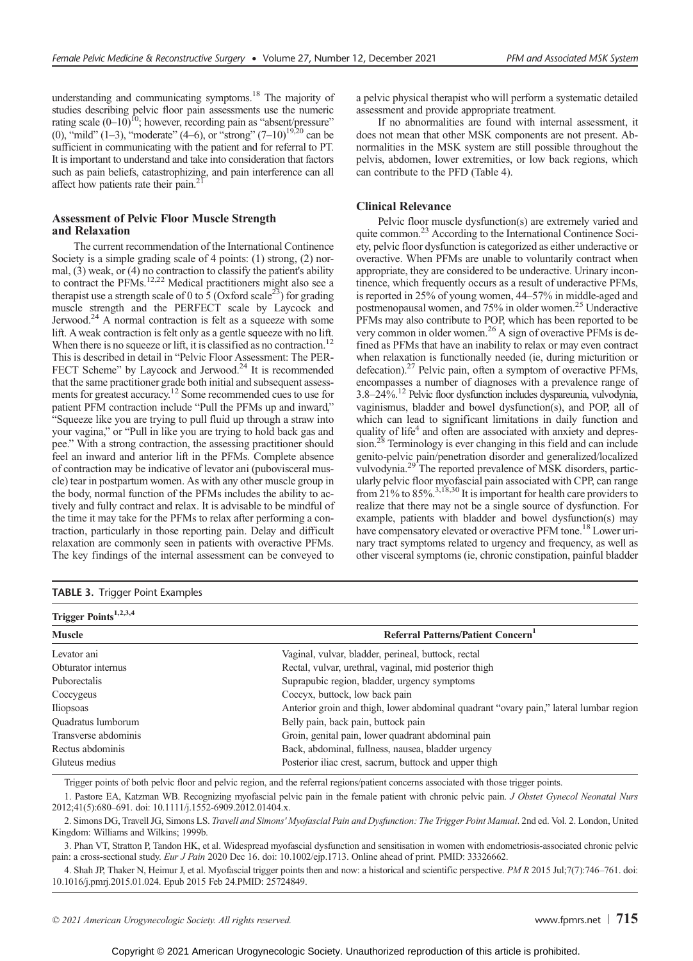understanding and communicating symptoms.<sup>18</sup> The majority of studies describing pelvic floor pain assessments use the numeric rating scale  $(0-10)^{10}$ ; however, recording pain as "absent/pressure" (0), "mild" (1–3), "moderate" (4–6), or "strong"  $(7-10)^{19,20}$  can be sufficient in communicating with the patient and for referral to PT. It is important to understand and take into consideration that factors such as pain beliefs, catastrophizing, and pain interference can all affect how patients rate their pain.<sup>21</sup>

## Assessment of Pelvic Floor Muscle Strength and Relaxation

The current recommendation of the International Continence Society is a simple grading scale of 4 points: (1) strong, (2) normal, (3) weak, or (4) no contraction to classify the patient's ability to contract the PFMs.<sup>12,22</sup> Medical practitioners might also see a therapist use a strength scale of 0 to 5 (Oxford scale<sup>23</sup>) for grading muscle strength and the PERFECT scale by Laycock and Jerwood.24 A normal contraction is felt as a squeeze with some lift. Aweak contraction is felt only as a gentle squeeze with no lift. When there is no squeeze or lift, it is classified as no contraction.<sup>12</sup> This is described in detail in "Pelvic Floor Assessment: The PER-FECT Scheme" by Laycock and Jerwood.<sup>24</sup> It is recommended that the same practitioner grade both initial and subsequent assessments for greatest accuracy.12 Some recommended cues to use for patient PFM contraction include "Pull the PFMs up and inward," "Squeeze like you are trying to pull fluid up through a straw into your vagina," or "Pull in like you are trying to hold back gas and pee." With a strong contraction, the assessing practitioner should feel an inward and anterior lift in the PFMs. Complete absence of contraction may be indicative of levator ani (pubovisceral muscle) tear in postpartum women. As with any other muscle group in the body, normal function of the PFMs includes the ability to actively and fully contract and relax. It is advisable to be mindful of the time it may take for the PFMs to relax after performing a contraction, particularly in those reporting pain. Delay and difficult relaxation are commonly seen in patients with overactive PFMs. The key findings of the internal assessment can be conveyed to

|  |  |  | a pelvic physical therapist who will perform a systematic detailed |  |  |
|--|--|--|--------------------------------------------------------------------|--|--|
|  |  |  | assessment and provide appropriate treatment.                      |  |  |

If no abnormalities are found with internal assessment, it does not mean that other MSK components are not present. Abnormalities in the MSK system are still possible throughout the pelvis, abdomen, lower extremities, or low back regions, which can contribute to the PFD (Table 4).

## Clinical Relevance

Pelvic floor muscle dysfunction(s) are extremely varied and quite common.<sup>23</sup> According to the International Continence Society, pelvic floor dysfunction is categorized as either underactive or overactive. When PFMs are unable to voluntarily contract when appropriate, they are considered to be underactive. Urinary incontinence, which frequently occurs as a result of underactive PFMs, is reported in 25% of young women, 44–57% in middle-aged and postmenopausal women, and 75% in older women.<sup>25</sup> Underactive PFMs may also contribute to POP, which has been reported to be very common in older women.26 A sign of overactive PFMs is defined as PFMs that have an inability to relax or may even contract when relaxation is functionally needed (ie, during micturition or defecation).<sup>27</sup> Pelvic pain, often a symptom of overactive PFMs, encompasses a number of diagnoses with a prevalence range of 3.8–24%.12 Pelvic floor dysfunction includes dyspareunia, vulvodynia, vaginismus, bladder and bowel dysfunction(s), and POP, all of which can lead to significant limitations in daily function and quality of life<sup>4</sup> and often are associated with anxiety and depression.<sup>28</sup> Terminology is ever changing in this field and can include genito-pelvic pain/penetration disorder and generalized/localized vulvodynia.<sup>29</sup> The reported prevalence of MSK disorders, particularly pelvic floor myofascial pain associated with CPP, can range from 21% to 85%.<sup>3,18,30</sup> It is important for health care providers to realize that there may not be a single source of dysfunction. For example, patients with bladder and bowel dysfunction(s) may have compensatory elevated or overactive PFM tone.<sup>18</sup> Lower urinary tract symptoms related to urgency and frequency, as well as other visceral symptoms (ie, chronic constipation, painful bladder

|  | TABLE 3. Trigger Point Examples |  |
|--|---------------------------------|--|
|--|---------------------------------|--|

| Trigger Points <sup>1,2,3,4</sup> |                                                                                        |  |  |  |
|-----------------------------------|----------------------------------------------------------------------------------------|--|--|--|
| <b>Muscle</b>                     | Referral Patterns/Patient Concern <sup>1</sup>                                         |  |  |  |
| Levator ani                       | Vaginal, vulvar, bladder, perineal, buttock, rectal                                    |  |  |  |
| Obturator internus                | Rectal, vulvar, urethral, vaginal, mid posterior thigh                                 |  |  |  |
| Puborectalis                      | Suprapubic region, bladder, urgency symptoms                                           |  |  |  |
| Coccygeus                         | Coccyx, buttock, low back pain                                                         |  |  |  |
| Iliopsoas                         | Anterior groin and thigh, lower abdominal quadrant "ovary pain," lateral lumbar region |  |  |  |
| Quadratus lumborum                | Belly pain, back pain, buttock pain                                                    |  |  |  |
| Transverse abdominis              | Groin, genital pain, lower quadrant abdominal pain                                     |  |  |  |
| Rectus abdominis                  | Back, abdominal, fullness, nausea, bladder urgency                                     |  |  |  |
| Gluteus medius                    | Posterior iliac crest, sacrum, buttock and upper thigh                                 |  |  |  |
|                                   |                                                                                        |  |  |  |

Trigger points of both pelvic floor and pelvic region, and the referral regions/patient concerns associated with those trigger points.

1. Pastore EA, Katzman WB. Recognizing myofascial pelvic pain in the female patient with chronic pelvic pain. J Obstet Gynecol Neonatal Nurs 2012;41(5):680–691. doi: [10.1111/j.1552-6909.2012.01404.x](http://dx.doi.org/10.1111/j.1552-6909.2012.01404.x).

2. Simons DG, Travell JG, Simons LS. Travell and Simons' Myofascial Pain and Dysfunction: The Trigger Point Manual. 2nd ed. Vol. 2. London, United Kingdom: Williams and Wilkins; 1999b.

3. Phan VT, Stratton P, Tandon HK, et al. Widespread myofascial dysfunction and sensitisation in women with endometriosis-associated chronic pelvic pain: a cross-sectional study. Eur J Pain 2020 Dec 16. doi: [10.1002/ejp.1713](http://dx.doi.org/10.1002/ejp.1713). Online ahead of print. PMID: 33326662.

4. Shah JP, Thaker N, Heimur J, et al. Myofascial trigger points then and now: a historical and scientific perspective. PM R 2015 Jul;7(7):746–761. doi: [10.1016/j.pmrj.2015.01.024.](http://dx.doi.org/10.1016/j.pmrj.2015.01.024) Epub 2015 Feb 24.PMID: 25724849.

© 2021 American Urogynecologic Society. All rights reserved.  $\blacksquare$  T15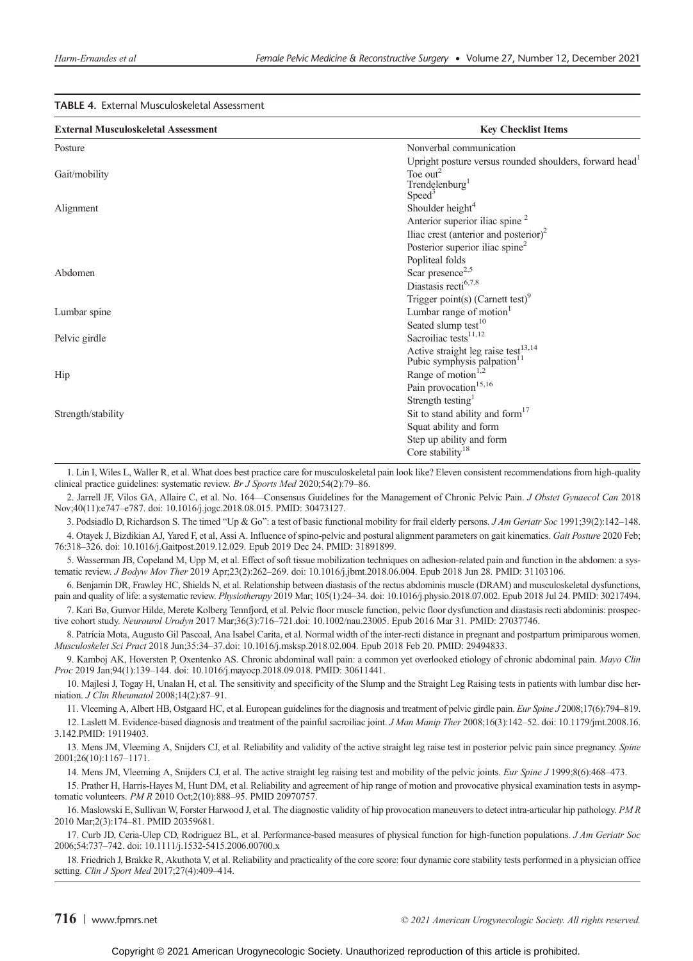## TABLE 4. External Musculoskeletal Assessment

| <b>External Musculoskeletal Assessment</b> | <b>Key Checklist Items</b>                                          |
|--------------------------------------------|---------------------------------------------------------------------|
| Posture                                    | Nonverbal communication                                             |
|                                            | Upright posture versus rounded shoulders, forward head <sup>1</sup> |
| Gait/mobility                              | Toe out <sup>2</sup>                                                |
|                                            | Trendelenburg <sup>1</sup>                                          |
|                                            | Speed <sup>3</sup>                                                  |
| Alignment                                  | Shoulder height <sup>4</sup>                                        |
|                                            | Anterior superior iliac spine <sup>2</sup>                          |
|                                            | Iliac crest (anterior and posterior) <sup>2</sup>                   |
|                                            | Posterior superior iliac spine <sup>2</sup>                         |
|                                            | Popliteal folds                                                     |
| Abdomen                                    | Scar presence <sup>2,5</sup>                                        |
|                                            | Diastasis recti <sup>6,7,8</sup>                                    |
|                                            | Trigger point(s) (Carnett test) <sup>9</sup>                        |
| Lumbar spine                               | Lumbar range of motion $1$                                          |
|                                            | Seated slump test <sup>10</sup>                                     |
| Pelvic girdle                              | Sacroiliac tests <sup>11,12</sup>                                   |
|                                            | Active straight leg raise test <sup>13,14</sup>                     |
|                                            | Pubic symphysis palpation <sup>11</sup>                             |
| Hip                                        | Range of motion <sup>1,2</sup>                                      |
|                                            | Pain provocation <sup>15,16</sup>                                   |
|                                            | Strength testing <sup>1</sup>                                       |
| Strength/stability                         | Sit to stand ability and form <sup>17</sup>                         |
|                                            | Squat ability and form                                              |
|                                            | Step up ability and form                                            |
|                                            | Core stability <sup>18</sup>                                        |

1. Lin I, Wiles L, Waller R, et al. What does best practice care for musculoskeletal pain look like? Eleven consistent recommendations from high-quality clinical practice guidelines: systematic review. Br J Sports Med 2020;54(2):79–86.

2. Jarrell JF, Vilos GA, Allaire C, et al. No. 164—Consensus Guidelines for the Management of Chronic Pelvic Pain. J Obstet Gynaecol Can 2018 Nov;40(11):e747–e787. doi: [10.1016/j.jogc.2018.08.015](http://dx.doi.org/10.1016/j.jogc.2018.08.015). PMID: 30473127.

3. Podsiadlo D, Richardson S. The timed "Up & Go": a test of basic functional mobility for frail elderly persons. J Am Geriatr Soc 1991;39(2):142–148.

4. Otayek J, Bizdikian AJ, Yared F, et al, Assi A. Influence of spino-pelvic and postural alignment parameters on gait kinematics. Gait Posture 2020 Feb; 76:318–326. doi: [10.1016/j.Gaitpost.2019.12.029](http://dx.doi.org/10.1016/j.Gaitpost.2019.12.029). Epub 2019 Dec 24. PMID: 31891899.

5. Wasserman JB, Copeland M, Upp M, et al. Effect of soft tissue mobilization techniques on adhesion-related pain and function in the abdomen: a systematic review. J Bodyw Mov Ther 2019 Apr;23(2):262–269. doi: [10.1016/j.jbmt.2018.06.004](http://dx.doi.org/10.1016/j.jbmt.2018.06.004). Epub 2018 Jun 28. PMID: 31103106.

6. Benjamin DR, Frawley HC, Shields N, et al. Relationship between diastasis of the rectus abdominis muscle (DRAM) and musculoskeletal dysfunctions, pain and quality of life: a systematic review. Physiotherapy 2019 Mar; 105(1):24–34. doi: [10.1016/j.physio.2018.07.002](http://dx.doi.org/10.1016/j.physio.2018.07.002). Epub 2018 Jul 24. PMID: 30217494.

7. Kari Bø, Gunvor Hilde, Merete Kolberg Tennfjord, et al. Pelvic floor muscle function, pelvic floor dysfunction and diastasis recti abdominis: prospective cohort study. Neurourol Urodyn 2017 Mar;36(3):716–721.doi: [10.1002/nau.23005.](http://dx.doi.org/10.1002/nau.23005) Epub 2016 Mar 31. PMID: 27037746.

8. Patrícia Mota, Augusto Gil Pascoal, Ana Isabel Carita, et al. Normal width of the inter-recti distance in pregnant and postpartum primiparous women. Musculoskelet Sci Pract 2018 Jun;35:34–37.doi: [10.1016/j.msksp.2018.02.004.](http://dx.doi.org/10.1016/j.msksp.2018.02.004) Epub 2018 Feb 20. PMID: 29494833.

9. Kamboj AK, Hoversten P, Oxentenko AS. Chronic abdominal wall pain: a common yet overlooked etiology of chronic abdominal pain. Mayo Clin Proc 2019 Jan;94(1):139–144. doi: [10.1016/j.mayocp.2018.09.018. PMID](http://10.1016/j.mayocp.2018.09.018.PMID): 30611441.

10. Majlesi J, Togay H, Unalan H, et al. The sensitivity and specificity of the Slump and the Straight Leg Raising tests in patients with lumbar disc herniation. J Clin Rheumatol 2008;14(2):87–91.

11. Vleeming A, Albert HB, Ostgaard HC, et al. European guidelines for the diagnosis and treatment of pelvic girdle pain. Eur Spine J 2008;17(6):794-819. 12. Laslett M. Evidence-based diagnosis and treatment of the painful sacroiliac joint. J Man Manip Ther 2008;16(3):142–52. doi: [10.1179/jmt.2008.16.](http://10.1179/jmt.2008.16.3.142.PMID)

[3.142.PMID](http://10.1179/jmt.2008.16.3.142.PMID): 19119403.

13. Mens JM, Vleeming A, Snijders CJ, et al. Reliability and validity of the active straight leg raise test in posterior pelvic pain since pregnancy. Spine 2001;26(10):1167–1171.

14. Mens JM, Vleeming A, Snijders CJ, et al. The active straight leg raising test and mobility of the pelvic joints. Eur Spine J 1999;8(6):468-473.

15. Prather H, Harris-Hayes M, Hunt DM, et al. Reliability and agreement of hip range of motion and provocative physical examination tests in asymptomatic volunteers. PM R 2010 Oct;2(10):888–95. PMID 20970757.

16. Maslowski E, Sullivan W, Forster Harwood J, et al. The diagnostic validity of hip provocation maneuvers to detect intra-articular hip pathology. PM R 2010 Mar;2(3):174–81. PMID 20359681.

17. Curb JD, Ceria-Ulep CD, Rodriguez BL, et al. Performance-based measures of physical function for high-function populations. J Am Geriatr Soc 2006;54:737–742. doi: [10.1111/j.1532-5415.2006.00700.x](http://dx.doi.org/10.1111/j.1532-5415.2006.00700.x)

18. Friedrich J, Brakke R, Akuthota V, et al. Reliability and practicality of the core score: four dynamic core stability tests performed in a physician office setting. Clin J Sport Med 2017;27(4):409–414.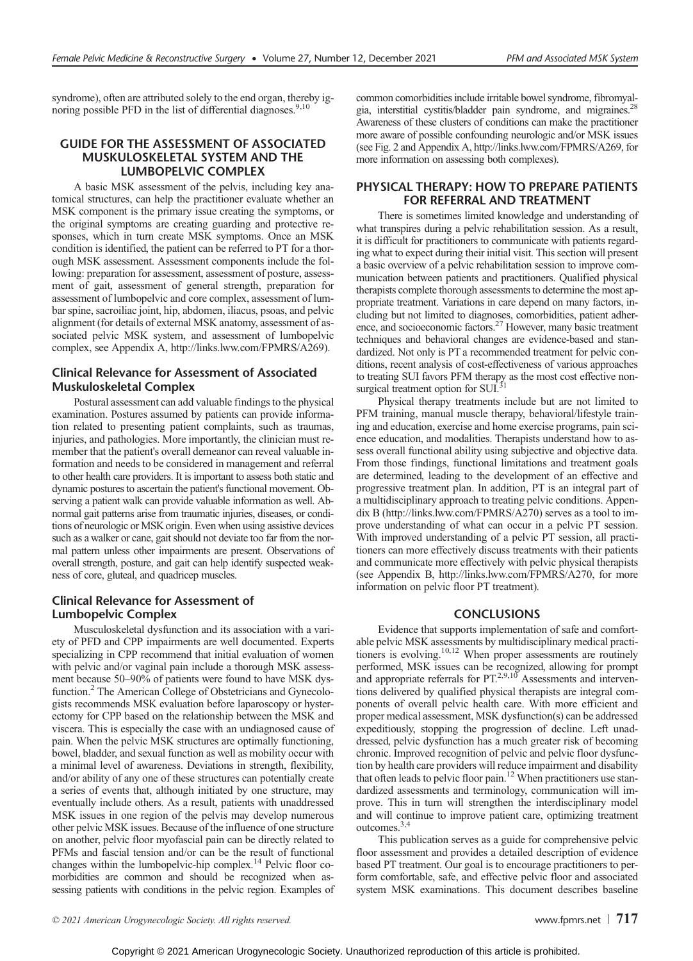syndrome), often are attributed solely to the end organ, thereby ignoring possible PFD in the list of differential diagnoses.<sup>9,10</sup>

# GUIDE FOR THE ASSESSMENT OF ASSOCIATED MUSKULOSKELETAL SYSTEM AND THE LUMBOPELVIC COMPLEX

A basic MSK assessment of the pelvis, including key anatomical structures, can help the practitioner evaluate whether an MSK component is the primary issue creating the symptoms, or the original symptoms are creating guarding and protective responses, which in turn create MSK symptoms. Once an MSK condition is identified, the patient can be referred to PT for a thorough MSK assessment. Assessment components include the following: preparation for assessment, assessment of posture, assessment of gait, assessment of general strength, preparation for assessment of lumbopelvic and core complex, assessment of lumbar spine, sacroiliac joint, hip, abdomen, iliacus, psoas, and pelvic alignment (for details of external MSK anatomy, assessment of associated pelvic MSK system, and assessment of lumbopelvic complex, see Appendix A, [http://links.lww.com/FPMRS/A269\)](http://links.lww.com/FPMRS/A269).

# Clinical Relevance for Assessment of Associated Muskuloskeletal Complex

Postural assessment can add valuable findings to the physical examination. Postures assumed by patients can provide information related to presenting patient complaints, such as traumas, injuries, and pathologies. More importantly, the clinician must remember that the patient's overall demeanor can reveal valuable information and needs to be considered in management and referral to other health care providers. It is important to assess both static and dynamic postures to ascertain the patient's functional movement. Observing a patient walk can provide valuable information as well. Abnormal gait patterns arise from traumatic injuries, diseases, or conditions of neurologic or MSK origin. Even when using assistive devices such as a walker or cane, gait should not deviate too far from the normal pattern unless other impairments are present. Observations of overall strength, posture, and gait can help identify suspected weakness of core, gluteal, and quadricep muscles.

## Clinical Relevance for Assessment of Lumbopelvic Complex

Musculoskeletal dysfunction and its association with a variety of PFD and CPP impairments are well documented. Experts specializing in CPP recommend that initial evaluation of women with pelvic and/or vaginal pain include a thorough MSK assessment because 50–90% of patients were found to have MSK dysfunction.<sup>2</sup> The American College of Obstetricians and Gynecologists recommends MSK evaluation before laparoscopy or hysterectomy for CPP based on the relationship between the MSK and viscera. This is especially the case with an undiagnosed cause of pain. When the pelvic MSK structures are optimally functioning, bowel, bladder, and sexual function as well as mobility occur with a minimal level of awareness. Deviations in strength, flexibility, and/or ability of any one of these structures can potentially create a series of events that, although initiated by one structure, may eventually include others. As a result, patients with unaddressed MSK issues in one region of the pelvis may develop numerous other pelvic MSK issues. Because of the influence of one structure on another, pelvic floor myofascial pain can be directly related to PFMs and fascial tension and/or can be the result of functional changes within the lumbopelvic-hip complex.<sup>14</sup> Pelvic floor comorbidities are common and should be recognized when assessing patients with conditions in the pelvic region. Examples of common comorbidities include irritable bowel syndrome, fibromyalgia, interstitial cystitis/bladder pain syndrome, and migraines.<sup>28</sup> Awareness of these clusters of conditions can make the practitioner more aware of possible confounding neurologic and/or MSK issues (see Fig. 2 and Appendix A,<http://links.lww.com/FPMRS/A269>, for more information on assessing both complexes).

# PHYSICAL THERAPY: HOW TO PREPARE PATIENTS FOR REFERRAL AND TREATMENT

There is sometimes limited knowledge and understanding of what transpires during a pelvic rehabilitation session. As a result, it is difficult for practitioners to communicate with patients regarding what to expect during their initial visit. This section will present a basic overview of a pelvic rehabilitation session to improve communication between patients and practitioners. Qualified physical therapists complete thorough assessments to determine the most appropriate treatment. Variations in care depend on many factors, including but not limited to diagnoses, comorbidities, patient adher-<br>ence, and socioeconomic factors.<sup>27</sup> However, many basic treatment techniques and behavioral changes are evidence-based and standardized. Not only is PT a recommended treatment for pelvic conditions, recent analysis of cost-effectiveness of various approaches to treating SUI favors PFM therapy as the most cost effective nonsurgical treatment option for  $\text{SUI}^{\tilde{3}1}_\cdot$ 

Physical therapy treatments include but are not limited to PFM training, manual muscle therapy, behavioral/lifestyle training and education, exercise and home exercise programs, pain science education, and modalities. Therapists understand how to assess overall functional ability using subjective and objective data. From those findings, functional limitations and treatment goals are determined, leading to the development of an effective and progressive treatment plan. In addition, PT is an integral part of a multidisciplinary approach to treating pelvic conditions. Appendix B (<http://links.lww.com/FPMRS/A270>) serves as a tool to improve understanding of what can occur in a pelvic PT session. With improved understanding of a pelvic PT session, all practitioners can more effectively discuss treatments with their patients and communicate more effectively with pelvic physical therapists (see Appendix B, [http://links.lww.com/FPMRS/A270,](http://links.lww.com/FPMRS/A270) for more information on pelvic floor PT treatment).

#### CONCLUSIONS

Evidence that supports implementation of safe and comfortable pelvic MSK assessments by multidisciplinary medical practitioners is evolving.<sup>10,12</sup> When proper assessments are routinely performed, MSK issues can be recognized, allowing for prompt and appropriate referrals for PT.<sup>2,9,10</sup> Assessments and interventions delivered by qualified physical therapists are integral components of overall pelvic health care. With more efficient and proper medical assessment, MSK dysfunction(s) can be addressed expeditiously, stopping the progression of decline. Left unaddressed, pelvic dysfunction has a much greater risk of becoming chronic. Improved recognition of pelvic and pelvic floor dysfunction by health care providers will reduce impairment and disability that often leads to pelvic floor pain.12 When practitioners use standardized assessments and terminology, communication will improve. This in turn will strengthen the interdisciplinary model and will continue to improve patient care, optimizing treatment outcomes.3,4

This publication serves as a guide for comprehensive pelvic floor assessment and provides a detailed description of evidence based PT treatment. Our goal is to encourage practitioners to perform comfortable, safe, and effective pelvic floor and associated system MSK examinations. This document describes baseline

© 2021 American Urogynecologic Society. All rights reserved.  $\blacksquare$  The served of the served of the served of the served of the served of the served of the served of the served of the served of the served of the served of